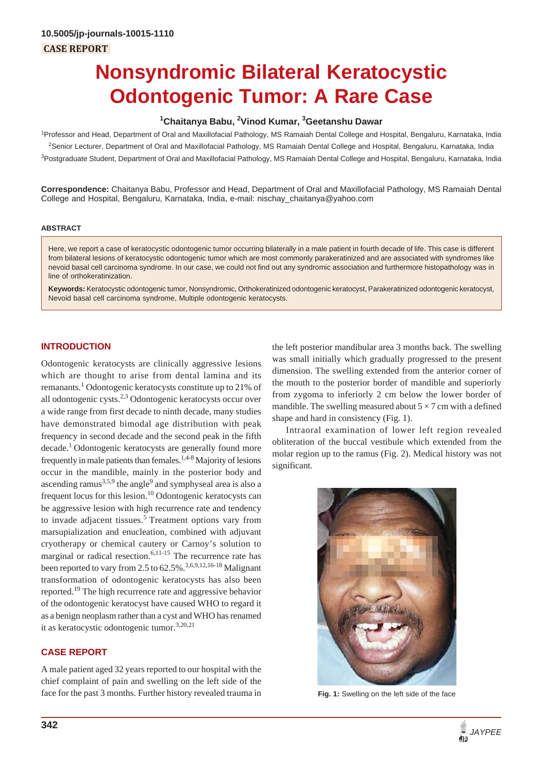# **Nonsyndromic Bilateral Keratocystic Odontogenic Tumor: A Rare Case**

# **1 Chaitanya Babu, 2 Vinod Kumar, 3 Geetanshu Dawar**

1 Professor and Head, Department of Oral and Maxillofacial Pathology, MS Ramaiah Dental College and Hospital, Bengaluru, Karnataka, India 2 Senior Lecturer, Department of Oral and Maxillofacial Pathology, MS Ramaiah Dental College and Hospital, Bengaluru, Karnataka, India <sup>3</sup>Postgraduate Student, Department of Oral and Maxillofacial Pathology, MS Ramaiah Dental College and Hospital, Bengaluru, Karnataka, India

**Correspondence:** Chaitanya Babu, Professor and Head, Department of Oral and Maxillofacial Pathology, MS Ramaiah Dental College and Hospital, Bengaluru, Karnataka, India, e-mail: nischay\_chaitanya@yahoo.com

#### **ABSTRACT**

Here, we report a case of keratocystic odontogenic tumor occurring bilaterally in a male patient in fourth decade of life. This case is different from bilateral lesions of keratocystic odontogenic tumor which are most commonly parakeratinized and are associated with syndromes like nevoid basal cell carcinoma syndrome. In our case, we could not find out any syndromic association and furthermore histopathology was in line of orthokeratinization.

**Keywords:** Keratocystic odontogenic tumor, Nonsyndromic, Orthokeratinized odontogenic keratocyst, Parakeratinized odontogenic keratocyst, Nevoid basal cell carcinoma syndrome, Multiple odontogenic keratocysts.

#### **INTRODUCTION**

Odontogenic keratocysts are clinically aggressive lesions which are thought to arise from dental lamina and its remanants.<sup>1</sup> Odontogenic keratocysts constitute up to 21% of all odontogenic cysts.2,3 Odontogenic keratocysts occur over a wide range from first decade to ninth decade, many studies have demonstrated bimodal age distribution with peak frequency in second decade and the second peak in the fifth decade.1 Odontogenic keratocysts are generally found more frequently in male patients than females.<sup>1,4-8</sup> Majority of lesions occur in the mandible, mainly in the posterior body and ascending ramus $^{3,5,9}$  the angle $^{9}$  and symphyseal area is also a frequent locus for this lesion.<sup>10</sup> Odontogenic keratocysts can be aggressive lesion with high recurrence rate and tendency to invade adjacent tissues.<sup>5</sup> Treatment options vary from marsupialization and enucleation, combined with adjuvant cryotherapy or chemical cautery or Carnoy's solution to marginal or radical resection.<sup>6,11-15</sup> The recurrence rate has been reported to vary from 2.5 to  $62.5\%$ .<sup>3,6,9,12,16-18</sup> Malignant transformation of odontogenic keratocysts has also been reported.19 The high recurrence rate and aggressive behavior of the odontogenic keratocyst have caused WHO to regard it as a benign neoplasm rather than a cyst and WHO has renamed it as keratocystic odontogenic tumor.3,20,21

#### **CASE REPORT**

A male patient aged 32 years reported to our hospital with the chief complaint of pain and swelling on the left side of the face for the past 3 months. Further history revealed trauma in the left posterior mandibular area 3 months back. The swelling was small initially which gradually progressed to the present dimension. The swelling extended from the anterior corner of the mouth to the posterior border of mandible and superiorly from zygoma to inferiorly 2 cm below the lower border of mandible. The swelling measured about  $5 \times 7$  cm with a defined shape and hard in consistency (Fig. 1).

Intraoral examination of lower left region revealed obliteration of the buccal vestibule which extended from the molar region up to the ramus (Fig. 2). Medical history was not significant.



**Fig. 1:** Swelling on the left side of the face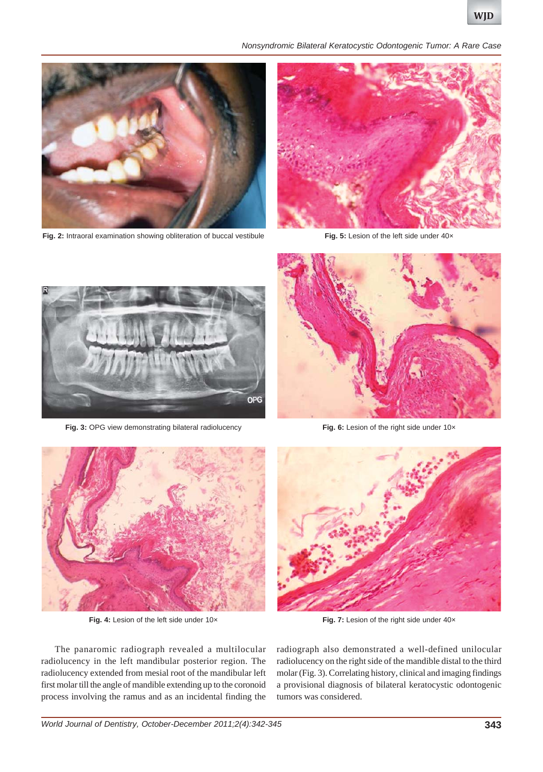*Nonsyndromic Bilateral Keratocystic Odontogenic Tumor: A Rare Case*



**Fig. 2:** Intraoral examination showing obliteration of buccal vestibule



Fig. 5: Lesion of the left side under 40x



Fig. 3: OPG view demonstrating bilateral radiolucency



**Fig. 6:** Lesion of the right side under 10×



Fig. 4: Lesion of the left side under 10x



Fig. 7: Lesion of the right side under 40x

The panaromic radiograph revealed a multilocular radiolucency in the left mandibular posterior region. The radiolucency extended from mesial root of the mandibular left first molar till the angle of mandible extending up to the coronoid process involving the ramus and as an incidental finding the

radiograph also demonstrated a well-defined unilocular radiolucency on the right side of the mandible distal to the third molar (Fig. 3). Correlating history, clinical and imaging findings a provisional diagnosis of bilateral keratocystic odontogenic tumors was considered.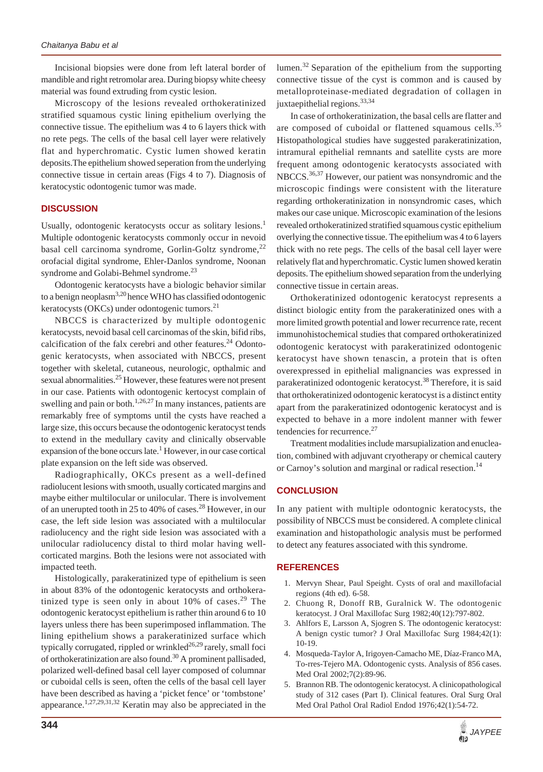Incisional biopsies were done from left lateral border of mandible and right retromolar area. During biopsy white cheesy material was found extruding from cystic lesion.

Microscopy of the lesions revealed orthokeratinized stratified squamous cystic lining epithelium overlying the connective tissue. The epithelium was 4 to 6 layers thick with no rete pegs. The cells of the basal cell layer were relatively flat and hyperchromatic. Cystic lumen showed keratin deposits.The epithelium showed seperation from the underlying connective tissue in certain areas (Figs 4 to 7). Diagnosis of keratocystic odontogenic tumor was made.

# **DISCUSSION**

Usually, odontogenic keratocysts occur as solitary lesions.<sup>1</sup> Multiple odontogenic keratocysts commonly occur in nevoid basal cell carcinoma syndrome, Gorlin-Goltz syndrome, $^{22}$ orofacial digital syndrome, Ehler-Danlos syndrome, Noonan syndrome and Golabi-Behmel syndrome.<sup>23</sup>

Odontogenic keratocysts have a biologic behavior similar to a benign neoplasm<sup>3,20</sup> hence WHO has classified odontogenic keratocysts (OKCs) under odontogenic tumors. $^{21}$ 

NBCCS is characterized by multiple odontogenic keratocysts, nevoid basal cell carcinomas of the skin, bifid ribs, calcification of the falx cerebri and other features. $24$  Odontogenic keratocysts, when associated with NBCCS, present together with skeletal, cutaneous, neurologic, opthalmic and sexual abnormalities.<sup>25</sup> However, these features were not present in our case. Patients with odontogenic kertocyst complain of swelling and pain or both.<sup>1,26,27</sup> In many instances, patients are remarkably free of symptoms until the cysts have reached a large size, this occurs because the odontogenic keratocyst tends to extend in the medullary cavity and clinically observable expansion of the bone occurs late.<sup>1</sup> However, in our case cortical plate expansion on the left side was observed.

Radiographically, OKCs present as a well-defined radiolucent lesions with smooth, usually corticated margins and maybe either multilocular or unilocular. There is involvement of an unerupted tooth in 25 to 40% of cases.28 However, in our case, the left side lesion was associated with a multilocular radiolucency and the right side lesion was associated with a unilocular radiolucency distal to third molar having wellcorticated margins. Both the lesions were not associated with impacted teeth.

Histologically, parakeratinized type of epithelium is seen in about 83% of the odontogenic keratocysts and orthokeratinized type is seen only in about  $10\%$  of cases.<sup>29</sup> The odontogenic keratocyst epithelium is rather thin around 6 to 10 layers unless there has been superimposed inflammation. The lining epithelium shows a parakeratinized surface which typically corrugated, rippled or wrinkled<sup>26,29</sup> rarely, small foci of orthokeratinization are also found.<sup>30</sup> A prominent pallisaded, polarized well-defined basal cell layer composed of columnar or cuboidal cells is seen, often the cells of the basal cell layer have been described as having a 'picket fence' or 'tombstone' appearance.<sup>1,27,29,31,32</sup> Keratin may also be appreciated in the

lumen.<sup>32</sup> Separation of the epithelium from the supporting connective tissue of the cyst is common and is caused by metalloproteinase-mediated degradation of collagen in juxtaepithelial regions.<sup>33,34</sup>

In case of orthokeratinization, the basal cells are flatter and are composed of cuboidal or flattened squamous cells.<sup>35</sup> Histopathological studies have suggested parakeratinization, intramural epithelial remnants and satellite cysts are more frequent among odontogenic keratocysts associated with NBCCS.<sup>36,37</sup> However, our patient was nonsyndromic and the microscopic findings were consistent with the literature regarding orthokeratinization in nonsyndromic cases, which makes our case unique. Microscopic examination of the lesions revealed orthokeratinized stratified squamous cystic epithelium overlying the connective tissue. The epithelium was 4 to 6 layers thick with no rete pegs. The cells of the basal cell layer were relatively flat and hyperchromatic. Cystic lumen showed keratin deposits. The epithelium showed separation from the underlying connective tissue in certain areas.

Orthokeratinized odontogenic keratocyst represents a distinct biologic entity from the parakeratinized ones with a more limited growth potential and lower recurrence rate, recent immunohistochemical studies that compared orthokeratinized odontogenic keratocyst with parakeratinized odontogenic keratocyst have shown tenascin, a protein that is often overexpressed in epithelial malignancies was expressed in parakeratinized odontogenic keratocyst.<sup>38</sup> Therefore, it is said that orthokeratinized odontogenic keratocyst is a distinct entity apart from the parakeratinized odontogenic keratocyst and is expected to behave in a more indolent manner with fewer tendencies for recurrence.<sup>27</sup>

Treatment modalities include marsupialization and enucleation, combined with adjuvant cryotherapy or chemical cautery or Carnoy's solution and marginal or radical resection.<sup>14</sup>

# **CONCLUSION**

In any patient with multiple odontognic keratocysts, the possibility of NBCCS must be considered. A complete clinical examination and histopathologic analysis must be performed to detect any features associated with this syndrome.

#### **REFERENCES**

- 1. Mervyn Shear, Paul Speight. Cysts of oral and maxillofacial regions (4th ed). 6-58.
- 2. Chuong R, Donoff RB, Guralnick W. The odontogenic keratocyst. J Oral Maxillofac Surg 1982;40(12):797-802.
- 3. Ahlfors E, Larsson A, Sjogren S. The odontogenic keratocyst: A benign cystic tumor? J Oral Maxillofac Surg 1984;42(1): 10-19.
- 4. Mosqueda-Taylor A, Irigoyen-Camacho ME, Díaz-Franco MA, To-rres-Tejero MA. Odontogenic cysts. Analysis of 856 cases. Med Oral 2002;7(2):89-96.
- 5. Brannon RB. The odontogenic keratocyst. A clinicopathological study of 312 cases (Part I). Clinical features. Oral Surg Oral Med Oral Pathol Oral Radiol Endod 1976;42(1):54-72.